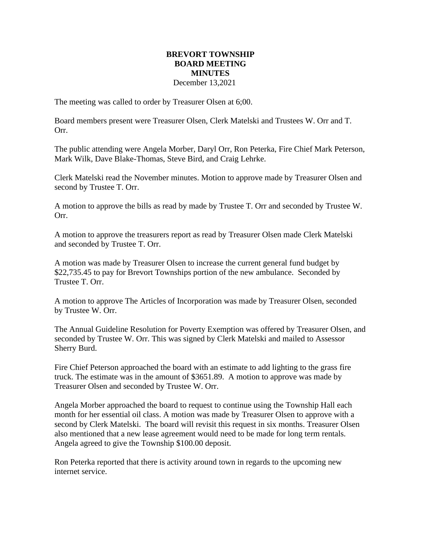## **BREVORT TOWNSHIP BOARD MEETING MINUTES** December 13,2021

The meeting was called to order by Treasurer Olsen at 6;00.

Board members present were Treasurer Olsen, Clerk Matelski and Trustees W. Orr and T. Orr.

The public attending were Angela Morber, Daryl Orr, Ron Peterka, Fire Chief Mark Peterson, Mark Wilk, Dave Blake-Thomas, Steve Bird, and Craig Lehrke.

Clerk Matelski read the November minutes. Motion to approve made by Treasurer Olsen and second by Trustee T. Orr.

A motion to approve the bills as read by made by Trustee T. Orr and seconded by Trustee W. Orr.

A motion to approve the treasurers report as read by Treasurer Olsen made Clerk Matelski and seconded by Trustee T. Orr.

A motion was made by Treasurer Olsen to increase the current general fund budget by \$22,735.45 to pay for Brevort Townships portion of the new ambulance. Seconded by Trustee T. Orr.

A motion to approve The Articles of Incorporation was made by Treasurer Olsen, seconded by Trustee W. Orr.

The Annual Guideline Resolution for Poverty Exemption was offered by Treasurer Olsen, and seconded by Trustee W. Orr. This was signed by Clerk Matelski and mailed to Assessor Sherry Burd.

Fire Chief Peterson approached the board with an estimate to add lighting to the grass fire truck. The estimate was in the amount of \$3651.89. A motion to approve was made by Treasurer Olsen and seconded by Trustee W. Orr.

Angela Morber approached the board to request to continue using the Township Hall each month for her essential oil class. A motion was made by Treasurer Olsen to approve with a second by Clerk Matelski. The board will revisit this request in six months. Treasurer Olsen also mentioned that a new lease agreement would need to be made for long term rentals. Angela agreed to give the Township \$100.00 deposit.

Ron Peterka reported that there is activity around town in regards to the upcoming new internet service.